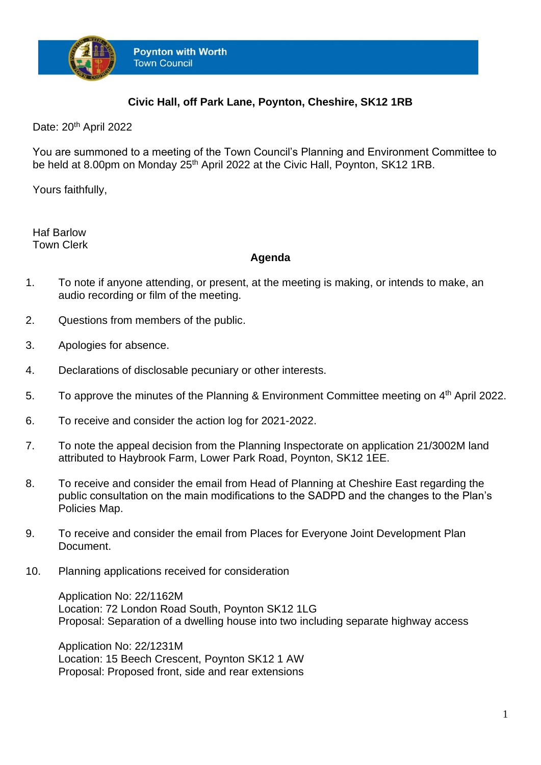

## **Civic Hall, off Park Lane, Poynton, Cheshire, SK12 1RB**

Date: 20<sup>th</sup> April 2022

You are summoned to a meeting of the Town Council's Planning and Environment Committee to be held at 8.00pm on Monday 25<sup>th</sup> April 2022 at the Civic Hall, Poynton, SK12 1RB.

Yours faithfully,

Haf Barlow Town Clerk

## **Agenda**

- 1. To note if anyone attending, or present, at the meeting is making, or intends to make, an audio recording or film of the meeting.
- 2. Questions from members of the public.
- 3. Apologies for absence.
- 4. Declarations of disclosable pecuniary or other interests.
- 5. To approve the minutes of the Planning & Environment Committee meeting on 4<sup>th</sup> April 2022.
- 6. To receive and consider the action log for 2021-2022.
- 7. To note the appeal decision from the Planning Inspectorate on application 21/3002M land attributed to Haybrook Farm, Lower Park Road, Poynton, SK12 1EE.
- 8. To receive and consider the email from Head of Planning at Cheshire East regarding the public consultation on the main modifications to the SADPD and the changes to the Plan's Policies Map.
- 9. To receive and consider the email from Places for Everyone Joint Development Plan Document.
- 10. Planning applications received for consideration

Application No: 22/1162M Location: 72 London Road South, Poynton SK12 1LG Proposal: Separation of a dwelling house into two including separate highway access

Application No: 22/1231M Location: 15 Beech Crescent, Poynton SK12 1 AW Proposal: Proposed front, side and rear extensions